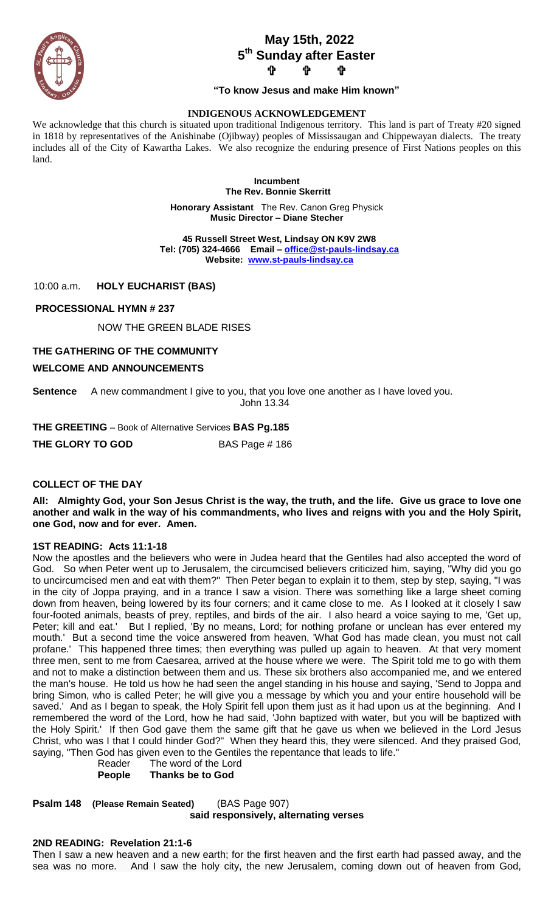

# **May 15th, 2022 5 th Sunday after Easter ታ ቀ**

# **"To know Jesus and make Him known"**

### **INDIGENOUS ACKNOWLEDGEMENT**

We acknowledge that this church is situated upon traditional Indigenous territory. This land is part of Treaty #20 signed in 1818 by representatives of the Anishinabe (Ojibway) peoples of Mississaugan and Chippewayan dialects. The treaty includes all of the City of Kawartha Lakes. We also recognize the enduring presence of First Nations peoples on this land.

> **Incumbent The Rev. Bonnie Skerritt**

**Honorary Assistant** The Rev. Canon Greg Physick **Music Director – Diane Stecher**

 **45 Russell Street West, Lindsay ON K9V 2W8 Tel: (705) 324-4666 Email – [office@st-pauls-lindsay.ca](mailto:office@st-pauls-lindsay.ca) Website: [www.st-pauls-lindsay.ca](http://www.st-pauls-lindsay.ca/)**

10:00 a.m. **HOLY EUCHARIST (BAS)**

### **PROCESSIONAL HYMN # 237**

NOW THE GREEN BLADE RISES

### **THE GATHERING OF THE COMMUNITY**

### **WELCOME AND ANNOUNCEMENTS**

**Sentence** A new commandment I give to you, that you love one another as I have loved you. John 13.34

**THE GREETING** – Book of Alternative Services **BAS Pg.185 THE GLORY TO GOD** BAS Page # 186

### **COLLECT OF THE DAY**

**All: Almighty God, your Son Jesus Christ is the way, the truth, and the life. Give us grace to love one another and walk in the way of his commandments, who lives and reigns with you and the Holy Spirit, one God, now and for ever. Amen.**

### **1ST READING: Acts 11:1-18**

Now the apostles and the believers who were in Judea heard that the Gentiles had also accepted the word of God. So when Peter went up to Jerusalem, the circumcised believers criticized him, saying, "Why did you go to uncircumcised men and eat with them?" Then Peter began to explain it to them, step by step, saying, "I was in the city of Joppa praying, and in a trance I saw a vision. There was something like a large sheet coming down from heaven, being lowered by its four corners; and it came close to me. As I looked at it closely I saw four-footed animals, beasts of prey, reptiles, and birds of the air. I also heard a voice saying to me, 'Get up, Peter; kill and eat.' But I replied, 'By no means, Lord; for nothing profane or unclean has ever entered my mouth.' But a second time the voice answered from heaven, 'What God has made clean, you must not call profane.' This happened three times; then everything was pulled up again to heaven. At that very moment three men, sent to me from Caesarea, arrived at the house where we were. The Spirit told me to go with them and not to make a distinction between them and us. These six brothers also accompanied me, and we entered the man's house. He told us how he had seen the angel standing in his house and saying, 'Send to Joppa and bring Simon, who is called Peter; he will give you a message by which you and your entire household will be saved.' And as I began to speak, the Holy Spirit fell upon them just as it had upon us at the beginning. And I remembered the word of the Lord, how he had said, 'John baptized with water, but you will be baptized with the Holy Spirit.' If then God gave them the same gift that he gave us when we believed in the Lord Jesus Christ, who was I that I could hinder God?" When they heard this, they were silenced. And they praised God, saying, "Then God has given even to the Gentiles the repentance that leads to life."

Reader The word of the Lord **People Thanks be to God**

**Psalm 148 (Please Remain Seated)** (BAS Page 907) **said responsively, alternating verses**

#### **2ND READING: Revelation 21:1-6**

Then I saw a new heaven and a new earth; for the first heaven and the first earth had passed away, and the sea was no more. And I saw the holy city, the new Jerusalem, coming down out of heaven from God,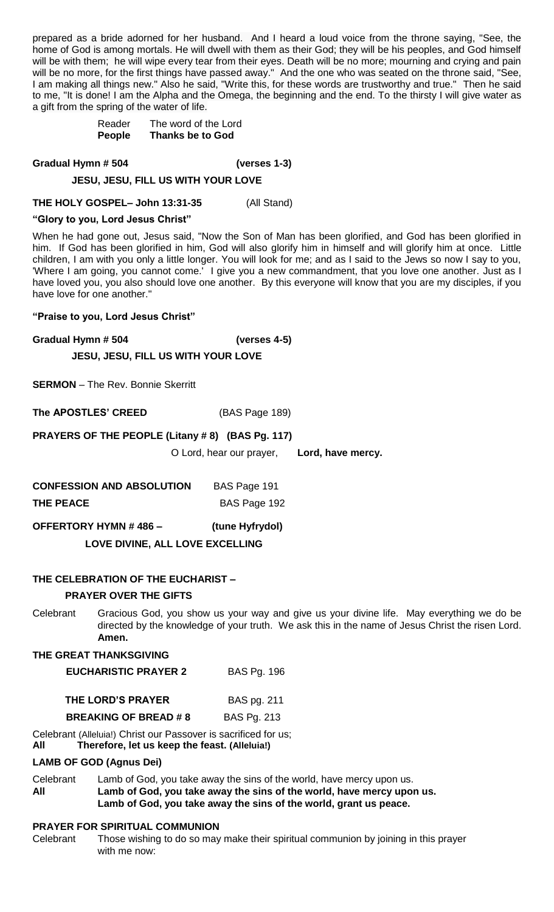prepared as a bride adorned for her husband. And I heard a loud voice from the throne saying, "See, the home of God is among mortals. He will dwell with them as their God; they will be his peoples, and God himself will be with them; he will wipe every tear from their eyes. Death will be no more; mourning and crying and pain will be no more, for the first things have passed away." And the one who was seated on the throne said, "See, I am making all things new." Also he said, "Write this, for these words are trustworthy and true." Then he said to me, "It is done! I am the Alpha and the Omega, the beginning and the end. To the thirsty I will give water as a gift from the spring of the water of life.

> Reader The word of the Lord **People Thanks be to God**

**Gradual Hymn # 504 (verses 1-3)**

# **JESU, JESU, FILL US WITH YOUR LOVE**

**THE HOLY GOSPEL– John 13:31-35** (All Stand)

### **"Glory to you, Lord Jesus Christ"**

When he had gone out, Jesus said, "Now the Son of Man has been glorified, and God has been glorified in him. If God has been glorified in him, God will also glorify him in himself and will glorify him at once. Little children, I am with you only a little longer. You will look for me; and as I said to the Jews so now I say to you, 'Where I am going, you cannot come.' I give you a new commandment, that you love one another. Just as I have loved you, you also should love one another. By this everyone will know that you are my disciples, if you have love for one another."

### **"Praise to you, Lord Jesus Christ"**

**Gradual Hymn # 504 (verses 4-5)**

**JESU, JESU, FILL US WITH YOUR LOVE**

**SERMON** – The Rev. Bonnie Skerritt

**The APOSTLES' CREED** (BAS Page 189)

# **PRAYERS OF THE PEOPLE (Litany # 8) (BAS Pg. 117)**

O Lord, hear our prayer, **Lord, have mercy.**

| <b>CONFESSION AND ABSOLUTION</b> | BAS Page 191 |
|----------------------------------|--------------|
| <b>THE PEACE</b>                 | BAS Page 192 |

**OFFERTORY HYMN # 486 – (tune Hyfrydol)**

 **LOVE DIVINE, ALL LOVE EXCELLING** 

# **THE CELEBRATION OF THE EUCHARIST –**

### **PRAYER OVER THE GIFTS**

Celebrant Gracious God, you show us your way and give us your divine life. May everything we do be directed by the knowledge of your truth. We ask this in the name of Jesus Christ the risen Lord. **Amen.**

### **THE GREAT THANKSGIVING**

| <b>EUCHARISTIC PRAYER 2</b> | <b>BAS Pg. 196</b> |
|-----------------------------|--------------------|
|-----------------------------|--------------------|

| THE LORD'S PRAYER           | BAS pg. 211        |
|-----------------------------|--------------------|
| <b>BREAKING OF BREAD #8</b> | <b>BAS Pg. 213</b> |

Celebrant (Alleluia!) Christ our Passover is sacrificed for us;

**All****Therefore, let us keep the feast. (Alleluia!)**

### **LAMB OF GOD (Agnus Dei)**

Celebrant Lamb of God, you take away the sins of the world, have mercy upon us. **All Lamb of God, you take away the sins of the world, have mercy upon us. Lamb of God, you take away the sins of the world, grant us peace.** 

### **PRAYER FOR SPIRITUAL COMMUNION**

Celebrant Those wishing to do so may make their spiritual communion by joining in this prayer with me now: